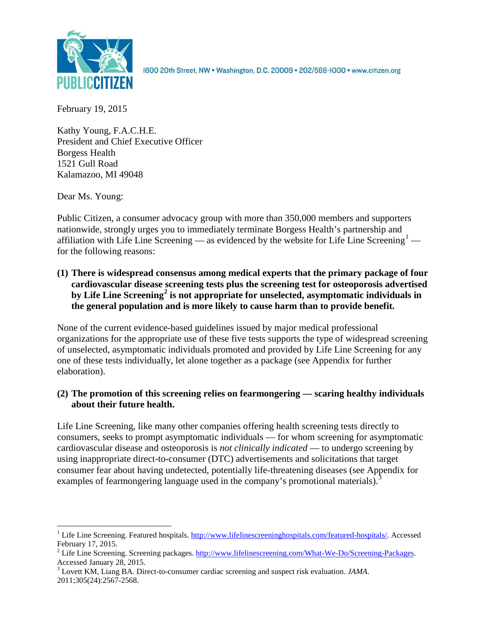

1600 20th Street, NW . Washington, D.C. 20009 . 202/588-1000 . www.citizen.org

February 19, 2015

Kathy Young, F.A.C.H.E. President and Chief Executive Officer Borgess Health 1521 Gull Road Kalamazoo, MI 49048

Dear Ms. Young:

Public Citizen, a consumer advocacy group with more than 350,000 members and supporters nationwide, strongly urges you to immediately terminate Borgess Health's partnership and affiliation with Life Line Screening — as evidenced by the website for Life Line Screening<sup>[1](#page-0-0)</sup> for the following reasons:

**(1) There is widespread consensus among medical experts that the primary package of four cardiovascular disease screening tests plus the screening test for osteoporosis advertised by Life Line Screening[2](#page-0-1) is not appropriate for unselected, asymptomatic individuals in the general population and is more likely to cause harm than to provide benefit.**

None of the current evidence-based guidelines issued by major medical professional organizations for the appropriate use of these five tests supports the type of widespread screening of unselected, asymptomatic individuals promoted and provided by Life Line Screening for any one of these tests individually, let alone together as a package (see Appendix for further elaboration).

## **(2) The promotion of this screening relies on fearmongering — scaring healthy individuals about their future health.**

Life Line Screening, like many other companies offering health screening tests directly to consumers, seeks to prompt asymptomatic individuals — for whom screening for asymptomatic cardiovascular disease and osteoporosis is *not clinically indicated* — to undergo screening by using inappropriate direct-to-consumer (DTC) advertisements and solicitations that target consumer fear about having undetected, potentially life-threatening diseases (see Appendix for examples of fearmongering language used in the company's promotional materials).<sup>[3](#page-0-2)</sup>

<span id="page-0-0"></span><sup>&</sup>lt;sup>1</sup> Life Line Screening. Featured hospitals. [http://www.lifelinescreeninghospitals.com/featured-hospitals/.](http://www.lifelinescreeninghospitals.com/featured-hospitals/) Accessed

<span id="page-0-1"></span>February 17, 2015.<br><sup>2</sup> Life Line Screening. Screening packages. [http://www.lifelinescreening.com/What-We-Do/Screening-Packages.](http://www.lifelinescreening.com/What-We-Do/Screening-Packages)<br>Accessed January 28, 2015.

<span id="page-0-2"></span><sup>&</sup>lt;sup>3</sup> Lovett KM, Liang BA. Direct-to-consumer cardiac screening and suspect risk evaluation. *JAMA*. 2011;305(24):2567-2568.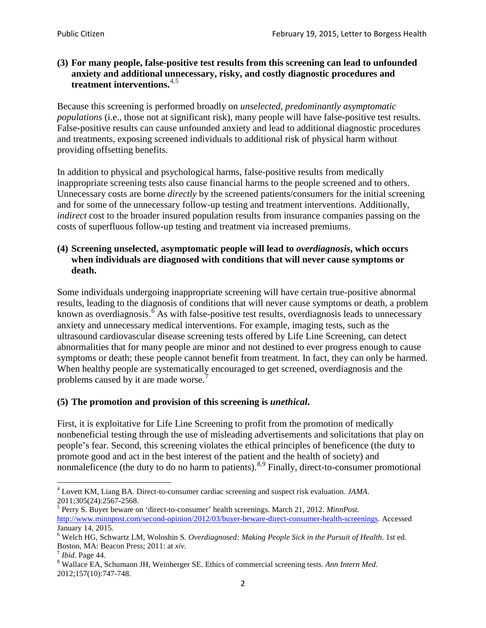## **(3) For many people, false-positive test results from this screening can lead to unfounded anxiety and additional unnecessary, risky, and costly diagnostic procedures and treatment interventions.**[4](#page-1-0),[5](#page-1-1)

Because this screening is performed broadly on *unselected, predominantly asymptomatic populations* (i.e., those not at significant risk), many people will have false**-**positive test results. False-positive results can cause unfounded anxiety and lead to additional diagnostic procedures and treatments, exposing screened individuals to additional risk of physical harm without providing offsetting benefits.

In addition to physical and psychological harms, false-positive results from medically inappropriate screening tests also cause financial harms to the people screened and to others. Unnecessary costs are borne *directly* by the screened patients/consumers for the initial screening and for some of the unnecessary follow-up testing and treatment interventions. Additionally, *indirect* cost to the broader insured population results from insurance companies passing on the costs of superfluous follow-up testing and treatment via increased premiums.

### **(4) Screening unselected, asymptomatic people will lead to** *overdiagnosis***, which occurs when individuals are diagnosed with conditions that will never cause symptoms or death.**

Some individuals undergoing inappropriate screening will have certain true-positive abnormal results, leading to the diagnosis of conditions that will never cause symptoms or death, a problem known as overdiagnosis.<sup>[6](#page-1-2)</sup> As with false-positive test results, overdiagnosis leads to unnecessary anxiety and unnecessary medical interventions. For example, imaging tests, such as the ultrasound cardiovascular disease screening tests offered by Life Line Screening, can detect abnormalities that for many people are minor and not destined to ever progress enough to cause symptoms or death; these people cannot benefit from treatment. In fact, they can only be harmed. When healthy people are systematically encouraged to get screened, overdiagnosis and the problems caused by it are made worse.<sup>[7](#page-1-3)</sup>

# **(5) The promotion and provision of this screening is** *unethical***.**

First, it is exploitative for Life Line Screening to profit from the promotion of medically nonbeneficial testing through the use of misleading advertisements and solicitations that play on people's fear. Second, this screening violates the ethical principles of beneficence (the duty to promote good and act in the best interest of the patient and the health of society) and nonmaleficence (the duty to do no harm to patients).<sup>[8](#page-1-4),[9](#page-1-5)</sup> Finally, direct-to-consumer promotional

<span id="page-1-4"></span>2012;157(10):747-748.

<span id="page-1-5"></span><span id="page-1-0"></span><sup>4</sup> Lovett KM, Liang BA. Direct-to-consumer cardiac screening and suspect risk evaluation. *JAMA*.

<span id="page-1-1"></span><sup>2011;305(24):2567-2568.</sup> <sup>5</sup> Perry S. Buyer beware on 'direct-to-consumer' health screenings. March 21, 2012. *MinnPost.*  [http://www.minnpost.com/second-opinion/2012/03/buyer-beware-direct-consumer-health-screenings.](http://www.minnpost.com/second-opinion/2012/03/buyer-beware-direct-consumer-health-screenings) Accessed January 14, 2015.

<span id="page-1-2"></span><sup>6</sup> Welch HG, Schwartz LM, Woloshin S. *Overdiagnosed: Making People Sick in the Pursuit of Health*. 1st ed. Boston, MA: Beacon Press; 2011: at *xiv*.<br><sup>7</sup> *Ibid*. Page 44.<br><sup>8</sup> Wallace EA, Schumann JH, Weinberger SE. Ethics of commercial screening tests. *Ann Intern Med*.

<span id="page-1-3"></span>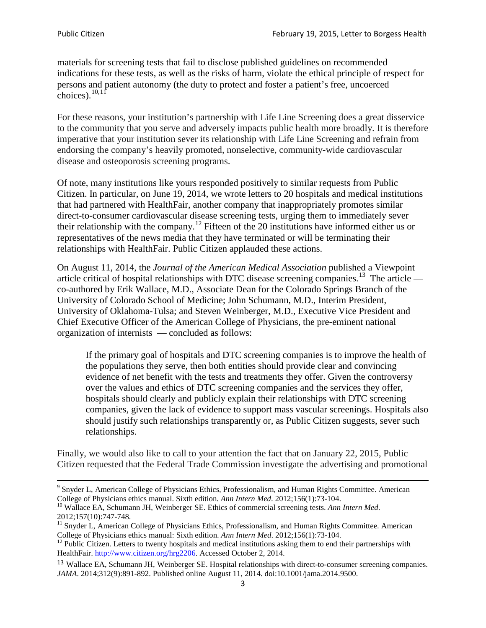materials for screening tests that fail to disclose published guidelines on recommended indications for these tests, as well as the risks of harm, violate the ethical principle of respect for persons and patient autonomy (the duty to protect and foster a patient's free, uncoerced choices). $\frac{10,11}{10,11}$  $\frac{10,11}{10,11}$  $\frac{10,11}{10,11}$  $\frac{10,11}{10,11}$ 

For these reasons, your institution's partnership with Life Line Screening does a great disservice to the community that you serve and adversely impacts public health more broadly. It is therefore imperative that your institution sever its relationship with Life Line Screening and refrain from endorsing the company's heavily promoted, nonselective, community**-**wide cardiovascular disease and osteoporosis screening programs.

Of note, many institutions like yours responded positively to similar requests from Public Citizen. In particular, on June 19, 2014, we wrote letters to 20 hospitals and medical institutions that had partnered with HealthFair, another company that inappropriately promotes similar direct-to-consumer cardiovascular disease screening tests, urging them to immediately sever their relationship with the company. [12](#page-2-2) Fifteen of the 20 institutions have informed either us or representatives of the news media that they have terminated or will be terminating their relationships with HealthFair. Public Citizen applauded these actions.

On August 11, 2014, the *Journal of the American Medical Association* published a Viewpoint article critical of hospital relationships with DTC disease screening companies.<sup>13</sup> The article co-authored by Erik Wallace, M.D., Associate Dean for the Colorado Springs Branch of the University of Colorado School of Medicine; John Schumann, M.D., Interim President, University of Oklahoma-Tulsa; and Steven Weinberger, M.D., Executive Vice President and Chief Executive Officer of the American College of Physicians, the pre**-**eminent national organization of internists — concluded as follows:

If the primary goal of hospitals and DTC screening companies is to improve the health of the populations they serve, then both entities should provide clear and convincing evidence of net benefit with the tests and treatments they offer. Given the controversy over the values and ethics of DTC screening companies and the services they offer, hospitals should clearly and publicly explain their relationships with DTC screening companies, given the lack of evidence to support mass vascular screenings. Hospitals also should justify such relationships transparently or, as Public Citizen suggests, sever such relationships.

Finally, we would also like to call to your attention the fact that on January 22, 2015, Public Citizen requested that the Federal Trade Commission investigate the advertising and promotional

<sup>&</sup>lt;sup>9</sup> Snyder L, American College of Physicians Ethics, Professionalism, and Human Rights Committee. American College of Physicians ethics manual. Sixth edition. Ann Intern Med. 2012;156(1):73-104.

<span id="page-2-0"></span><sup>&</sup>lt;sup>10</sup> Wallace EA, Schumann JH, Weinberger SE. Ethics of commercial screening tests. *Ann Intern Med*. 2012;157(10):747-748.

<span id="page-2-1"></span> $11$  Snyder L, American College of Physicians Ethics, Professionalism, and Human Rights Committee. American College of Physicians ethics manual: Sixth edition. *Ann Intern Med*. 2012;156(1):73-104.<br><sup>12</sup> Public Citizen. Letters to twenty hospitals and medical institutions asking them to end their partnerships with

<span id="page-2-2"></span>HealthFair. [http://www.citizen.org/hrg2206.](http://www.citizen.org/hrg2206) Accessed October 2, 2014.

<span id="page-2-3"></span><sup>13</sup> Wallace EA, Schumann JH, Weinberger SE. Hospital relationships with direct-to-consumer screening companies. *JAMA*. 2014;312(9):891-892. Published online August 11, 2014. doi:10.1001/jama.2014.9500.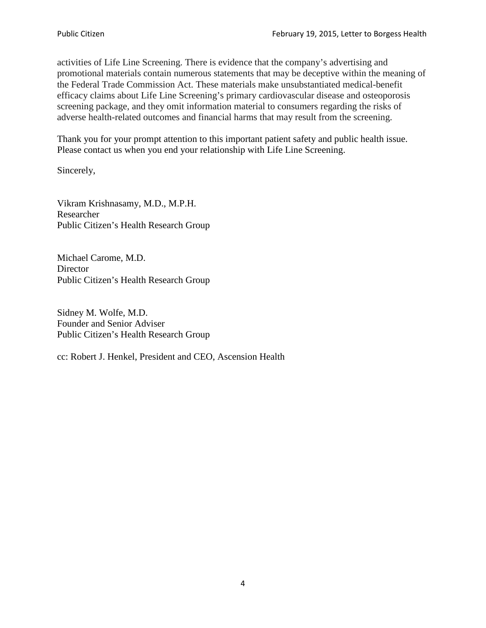activities of Life Line Screening. There is evidence that the company's advertising and promotional materials contain numerous statements that may be deceptive within the meaning of the Federal Trade Commission Act. These materials make unsubstantiated medical-benefit efficacy claims about Life Line Screening's primary cardiovascular disease and osteoporosis screening package, and they omit information material to consumers regarding the risks of adverse health-related outcomes and financial harms that may result from the screening.

Thank you for your prompt attention to this important patient safety and public health issue. Please contact us when you end your relationship with Life Line Screening.

Sincerely,

Vikram Krishnasamy, M.D., M.P.H. Researcher Public Citizen's Health Research Group

Michael Carome, M.D. **Director** Public Citizen's Health Research Group

Sidney M. Wolfe, M.D. Founder and Senior Adviser Public Citizen's Health Research Group

cc: Robert J. Henkel, President and CEO, Ascension Health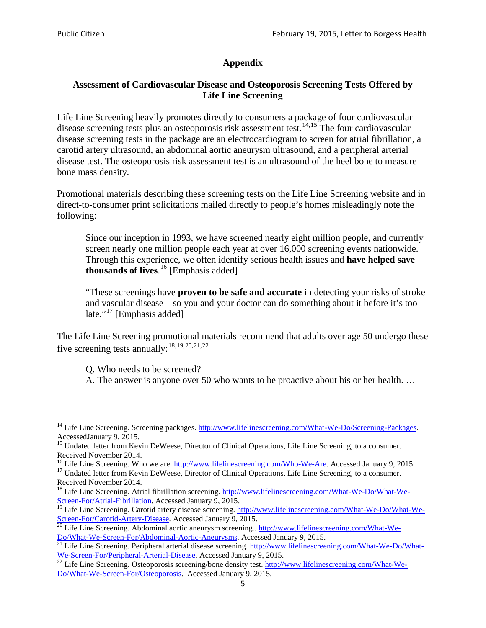## **Appendix**

### **Assessment of Cardiovascular Disease and Osteoporosis Screening Tests Offered by Life Line Screening**

Life Line Screening heavily promotes directly to consumers a package of four cardiovascular disease screening tests plus an osteoporosis risk assessment test.<sup>[14](#page-4-0),[15](#page-4-1)</sup> The four cardiovascular disease screening tests in the package are an electrocardiogram to screen for atrial fibrillation, a carotid artery ultrasound, an abdominal aortic aneurysm ultrasound, and a peripheral arterial disease test. The osteoporosis risk assessment test is an ultrasound of the heel bone to measure bone mass density.

Promotional materials describing these screening tests on the Life Line Screening website and in direct-to-consumer print solicitations mailed directly to people's homes misleadingly note the following:

Since our inception in 1993, we have screened nearly eight million people, and currently screen nearly one million people each year at over 16,000 screening events nationwide. Through this experience, we often identify serious health issues and **have helped save thousands of lives**. [16](#page-4-2) [Emphasis added]

"These screenings have **proven to be safe and accurate** in detecting your risks of stroke and vascular disease – so you and your doctor can do something about it before it's too late."<sup>[17](#page-4-3)</sup> [Emphasis added]

The Life Line Screening promotional materials recommend that adults over age 50 undergo these five screening tests annually:<sup>[18](#page-4-4),[19,](#page-4-5)[20,](#page-4-6)[21](#page-4-7),[22](#page-4-8)</sup>

Q. Who needs to be screened?

A. The answer is anyone over 50 who wants to be proactive about his or her health. …

<span id="page-4-0"></span><sup>&</sup>lt;sup>14</sup> Life Line Screening. Screening packages. [http://www.lifelinescreening.com/What-We-Do/Screening-Packages.](http://www.lifelinescreening.com/What-We-Do/Screening-Packages) AccessedJanuary 9, 2015.

<span id="page-4-1"></span><sup>&</sup>lt;sup>15</sup> Undated letter from Kevin DeWeese, Director of Clinical Operations, Life Line Screening, to a consumer.

Received November 2014.<br><sup>16</sup> Life Line Screening. Who we are. http://www.lifelinescreening.com/Who-We-Are. Accessed January 9, 2015.

<span id="page-4-3"></span><span id="page-4-2"></span><sup>&</sup>lt;sup>17</sup> Undated letter from Kevin DeWeese, Director of Clinical Operations, Life Line Screening, to a consumer. Received November 2014.

<span id="page-4-4"></span><sup>&</sup>lt;sup>18</sup> Life Line Screening. Atrial fibrillation screening. [http://www.lifelinescreening.com/What-We-Do/What-We-](http://www.lifelinescreening.com/What-We-Do/What-We-Screen-For/Atrial-Fibrillation)[Screen-For/Atrial-Fibrillation.](http://www.lifelinescreening.com/What-We-Do/What-We-Screen-For/Atrial-Fibrillation) Accessed January 9, 2015.

<sup>&</sup>lt;sup>19</sup> Life Line Screening. Carotid artery disease screening. [http://www.lifelinescreening.com/What-We-Do/What-We-](http://www.lifelinescreening.com/What-We-Do/What-We-Screen-For/Carotid-Artery-Disease)

<span id="page-4-6"></span><span id="page-4-5"></span>[Screen-For/Carotid-Artery-Disease.](http://www.lifelinescreening.com/What-We-Do/What-We-Screen-For/Carotid-Artery-Disease) Accessed January 9, 2015.<br><sup>20</sup> Life Line Screening. Abdominal aortic aneurysm screening.. http://www.lifelinescreening.com/What-We-Do/What-We-Do/What-We-Screen-For/Abdominal-Aortic-Aneury

<span id="page-4-7"></span><sup>&</sup>lt;sup>21</sup> Life Line Screening. Peripheral arterial disease screening. [http://www.lifelinescreening.com/What-We-Do/What-](http://www.lifelinescreening.com/What-We-Do/What-We-Screen-For/Peripheral-Arterial-Disease)

<span id="page-4-8"></span>[We-Screen-For/Peripheral-Arterial-Disease.](http://www.lifelinescreening.com/What-We-Do/What-We-Screen-For/Peripheral-Arterial-Disease) Accessed January 9, 2015.<br><sup>22</sup> Life Line Screening. Osteoporosis screening/bone density test. [http://www.lifelinescreening.com/What-We-](http://www.lifelinescreening.com/What-We-Do/What-We-Screen-For/Osteoporosis)[Do/What-We-Screen-For/Osteoporosis.](http://www.lifelinescreening.com/What-We-Do/What-We-Screen-For/Osteoporosis) Accessed January 9, 2015.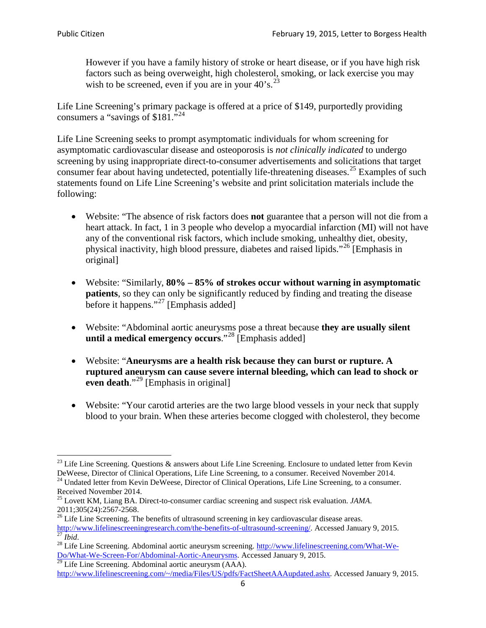However if you have a family history of stroke or heart disease, or if you have high risk factors such as being overweight, high cholesterol, smoking, or lack exercise you may wish to be screened, even if you are in your  $40^{\circ}$ s.<sup>[23](#page-5-0)</sup>

Life Line Screening's primary package is offered at a price of \$149, purportedly providing consumers a "savings of \$181."<sup>[24](#page-5-1)</sup>

Life Line Screening seeks to prompt asymptomatic individuals for whom screening for asymptomatic cardiovascular disease and osteoporosis is *not clinically indicated* to undergo screening by using inappropriate direct-to-consumer advertisements and solicitations that target consumer fear about having undetected, potentially life-threatening diseases.<sup>[25](#page-5-2)</sup> Examples of such statements found on Life Line Screening's website and print solicitation materials include the following:

- Website: "The absence of risk factors does **not** guarantee that a person will not die from a heart attack. In fact, 1 in 3 people who develop a myocardial infarction (MI) will not have any of the conventional risk factors, which include smoking, unhealthy diet, obesity, physical inactivity, high blood pressure, diabetes and raised lipids."[26](#page-5-3) [Emphasis in original]
- Website: "Similarly, **80% – 85% of strokes occur without warning in asymptomatic patients**, so they can only be significantly reduced by finding and treating the disease before it happens."<sup>[27](#page-5-4)</sup> [Emphasis added]
- Website: "Abdominal aortic aneurysms pose a threat because **they are usually silent until a medical emergency occurs**."[28](#page-5-5) [Emphasis added]
- Website: "**Aneurysms are a health risk because they can burst or rupture. A ruptured aneurysm can cause severe internal bleeding, which can lead to shock or even death.**"<sup>[29](#page-5-6)</sup> [Emphasis in original]
- Website: "Your carotid arteries are the two large blood vessels in your neck that supply blood to your brain. When these arteries become clogged with cholesterol, they become

<span id="page-5-0"></span><sup>&</sup>lt;sup>23</sup> Life Line Screening. Questions  $\&$  answers about Life Line Screening. Enclosure to undated letter from Kevin DeWeese, Director of Clinical Operations, Life Line Screening, to a consumer. Received November 2014.

<span id="page-5-1"></span><sup>&</sup>lt;sup>24</sup> Undated letter from Kevin DeWeese, Director of Clinical Operations, Life Line Screening, to a consumer. Received November 2014.

<span id="page-5-2"></span><sup>25</sup> Lovett KM, Liang BA. Direct-to-consumer cardiac screening and suspect risk evaluation. *JAMA*.  $2011;305(24):2567-2568$ .<br><sup>26</sup> Life Line Screening. The benefits of ultrasound screening in key cardiovascular disease areas.

<span id="page-5-3"></span>[http://www.lifelinescreeningresearch.com/the-benefits-of-ultrasound-screening/.](http://www.lifelinescreeningresearch.com/the-benefits-of-ultrasound-screening/) Accessed January 9, 2015.<br><sup>28</sup> Life Line Screening. Abdominal aortic aneurysm screening. http://www.lifelinescreening.com/What-We-<br><sup>28</sup> Life L

<span id="page-5-5"></span><span id="page-5-4"></span>[Do/What-We-Screen-For/Abdominal-Aortic-Aneurysms.](http://www.lifelinescreening.com/What-We-Do/What-We-Screen-For/Abdominal-Aortic-Aneurysms) Accessed January 9, 2015. <sup>29</sup> Life Line Screening. Abdominal aortic aneurysm (AAA).

<span id="page-5-6"></span>[http://www.lifelinescreening.com/~/media/Files/US/pdfs/FactSheetAAAupdated.ashx.](http://www.lifelinescreening.com/~/media/Files/US/pdfs/FactSheetAAAupdated.ashx) Accessed January 9, 2015.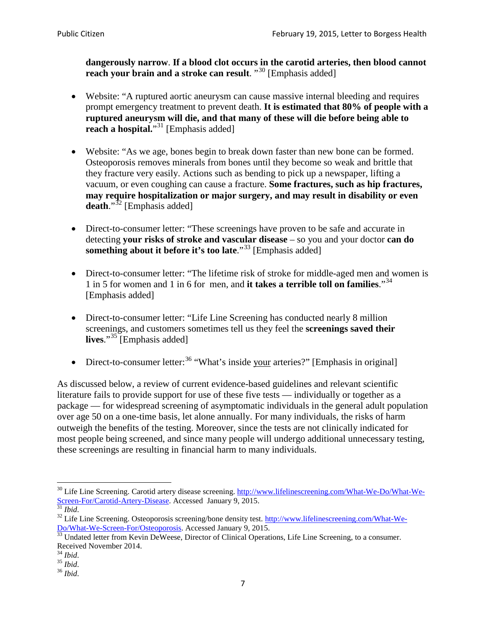**dangerously narrow**. **If a blood clot occurs in the carotid arteries, then blood cannot reach your brain and a stroke can result**. "<sup>[30](#page-6-0)</sup> [Emphasis added]

- Website: "A ruptured aortic aneurysm can cause massive internal bleeding and requires prompt emergency treatment to prevent death. **It is estimated that 80% of people with a ruptured aneurysm will die, and that many of these will die before being able to reach a hospital.**"<sup>[31](#page-6-1)</sup> [Emphasis added]
- Website: "As we age, bones begin to break down faster than new bone can be formed. Osteoporosis removes minerals from bones until they become so weak and brittle that they fracture very easily. Actions such as bending to pick up a newspaper, lifting a vacuum, or even coughing can cause a fracture. **Some fractures, such as hip fractures, may require hospitalization or major surgery, and may result in disability or even**  death."<sup>[32](#page-6-2)</sup> [Emphasis added]
- Direct-to-consumer letter: "These screenings have proven to be safe and accurate in detecting **your risks of stroke and vascular disease** – so you and your doctor **can do something about it before it's too late**."<sup>[33](#page-6-3)</sup> [Emphasis added]
- Direct-to-consumer letter: "The lifetime risk of stroke for middle-aged men and women is 1 in 5 for women and 1 in 6 for men, and **it takes a terrible toll on families**."[34](#page-6-4) [Emphasis added]
- Direct-to-consumer letter: "Life Line Screening has conducted nearly 8 million screenings, and customers sometimes tell us they feel the **screenings saved their lives**."[35](#page-6-5) [Emphasis added]
- Direct-to-consumer letter:  $36$  "What's inside your arteries?" [Emphasis in original]

As discussed below, a review of current evidence-based guidelines and relevant scientific literature fails to provide support for use of these five tests — individually or together as a package — for widespread screening of asymptomatic individuals in the general adult population over age 50 on a one-time basis, let alone annually. For many individuals, the risks of harm outweigh the benefits of the testing. Moreover, since the tests are not clinically indicated for most people being screened, and since many people will undergo additional unnecessary testing, these screenings are resulting in financial harm to many individuals.

<span id="page-6-0"></span><sup>&</sup>lt;sup>30</sup> Life Line Screening. Carotid artery disease screening. [http://www.lifelinescreening.com/What-We-Do/What-We-](http://www.lifelinescreening.com/What-We-Do/What-We-Screen-For/Carotid-Artery-Disease)[Screen-For/Carotid-Artery-Disease.](http://www.lifelinescreening.com/What-We-Do/What-We-Screen-For/Carotid-Artery-Disease) Accessed January 9, 2015.<br><sup>31</sup> *Ibid.* 32 Life Line Screening. Osteoporosis screening/bone density test. [http://www.lifelinescreening.com/What-We-](http://www.lifelinescreening.com/What-We-Do/What-We-Screen-For/Osteoporosis)

<span id="page-6-2"></span><span id="page-6-1"></span>[Do/What-We-Screen-For/Osteoporosis.](http://www.lifelinescreening.com/What-We-Do/What-We-Screen-For/Osteoporosis) Accessed January 9, 2015. <sup>33</sup> Undated letter from Kevin DeWeese, Director of Clinical Operations, Life Line Screening, to a consumer.

<span id="page-6-3"></span>Received November 2014.<br><sup>34</sup> Ibid.

<span id="page-6-4"></span>

<span id="page-6-5"></span><sup>34</sup> *Ibid*. 35 *Ibid*. 36 *Ibid*.

<span id="page-6-6"></span>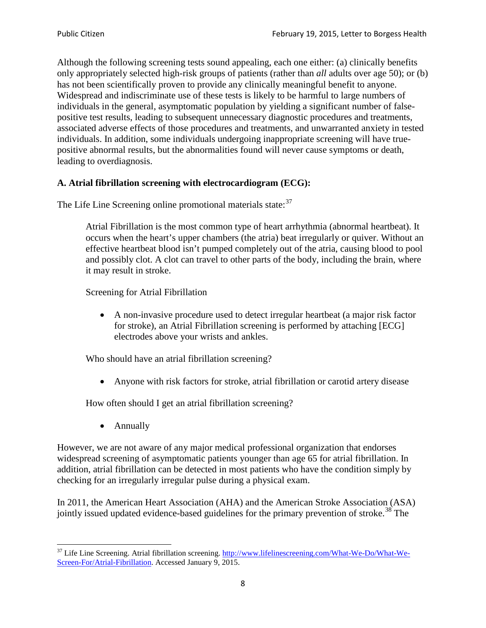Although the following screening tests sound appealing, each one either: (a) clinically benefits only appropriately selected high-risk groups of patients (rather than *all* adults over age 50); or (b) has not been scientifically proven to provide any clinically meaningful benefit to anyone. Widespread and indiscriminate use of these tests is likely to be harmful to large numbers of individuals in the general, asymptomatic population by yielding a significant number of falsepositive test results, leading to subsequent unnecessary diagnostic procedures and treatments, associated adverse effects of those procedures and treatments, and unwarranted anxiety in tested individuals. In addition, some individuals undergoing inappropriate screening will have truepositive abnormal results, but the abnormalities found will never cause symptoms or death, leading to overdiagnosis.

## **A. Atrial fibrillation screening with electrocardiogram (ECG):**

The Life Line Screening online promotional materials state:<sup>[37](#page-7-0)</sup>

Atrial Fibrillation is the most common type of heart arrhythmia (abnormal heartbeat). It occurs when the heart's upper chambers (the atria) beat irregularly or quiver. Without an effective heartbeat blood isn't pumped completely out of the atria, causing blood to pool and possibly clot. A clot can travel to other parts of the body, including the brain, where it may result in stroke.

Screening for Atrial Fibrillation

• A non-invasive procedure used to detect irregular heartbeat (a major risk factor for stroke), an Atrial Fibrillation screening is performed by attaching [ECG] electrodes above your wrists and ankles.

Who should have an atrial fibrillation screening?

• Anyone with risk factors for stroke, atrial fibrillation or carotid artery disease

How often should I get an atrial fibrillation screening?

• Annually

<span id="page-7-1"></span>However, we are not aware of any major medical professional organization that endorses widespread screening of asymptomatic patients younger than age 65 for atrial fibrillation. In addition, atrial fibrillation can be detected in most patients who have the condition simply by checking for an irregularly irregular pulse during a physical exam.

In 2011, the American Heart Association (AHA) and the American Stroke Association (ASA) jointly issued updated evidence-based guidelines for the primary prevention of stroke.<sup>[38](#page-7-1)</sup> The

<span id="page-7-0"></span><sup>&</sup>lt;sup>37</sup> Life Line Screening. Atrial fibrillation screening. [http://www.lifelinescreening.com/What-We-Do/What-We-](http://www.lifelinescreening.com/What-We-Do/What-We-Screen-For/Atrial-Fibrillation)[Screen-For/Atrial-Fibrillation.](http://www.lifelinescreening.com/What-We-Do/What-We-Screen-For/Atrial-Fibrillation) Accessed January 9, 2015.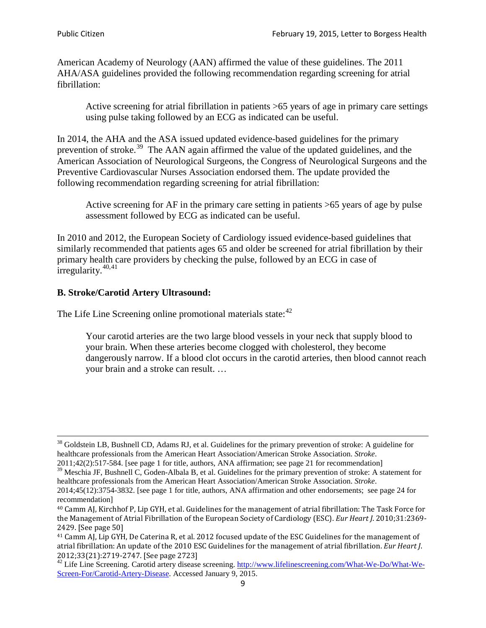American Academy of Neurology (AAN) affirmed the value of these guidelines. The 2011 AHA/ASA guidelines provided the following recommendation regarding screening for atrial fibrillation:

Active screening for atrial fibrillation in patients >65 years of age in primary care settings using pulse taking followed by an ECG as indicated can be useful.

In 2014, the AHA and the ASA issued updated evidence-based guidelines for the primary prevention of stroke.<sup>[39](#page-8-0)</sup> The AAN again affirmed the value of the updated guidelines, and the American Association of Neurological Surgeons, the Congress of Neurological Surgeons and the Preventive Cardiovascular Nurses Association endorsed them. The update provided the following recommendation regarding screening for atrial fibrillation:

Active screening for AF in the primary care setting in patients >65 years of age by pulse assessment followed by ECG as indicated can be useful.

In 2010 and 2012, the European Society of Cardiology issued evidence-based guidelines that similarly recommended that patients ages 65 and older be screened for atrial fibrillation by their primary health care providers by checking the pulse, followed by an ECG in case of irregularity. $40,41$  $40,41$ 

## **B. Stroke/Carotid Artery Ultrasound:**

The Life Line Screening online promotional materials state:<sup>[42](#page-8-3)</sup>

Your carotid arteries are the two large blood vessels in your neck that supply blood to your brain. When these arteries become clogged with cholesterol, they become dangerously narrow. If a blood clot occurs in the carotid arteries, then blood cannot reach your brain and a stroke can result. …

<sup>&</sup>lt;sup>38</sup> Goldstein LB, Bushnell CD, Adams RJ, et al. Guidelines for the primary prevention of stroke: A guideline for healthcare professionals from the American Heart Association/American Stroke Association. *Stroke*.

<sup>2011;42(2):517-584.</sup> [see page 1 for title, authors, ANA affirmation; see page 21 for recommendation]

<span id="page-8-0"></span> $\frac{2011,42(2)(317,601)}{39}$  Meschia JF, Bushnell C, Goden-Albala B, et al. Guidelines for the primary prevention of stroke: A statement for healthcare professionals from the American Heart Association/American Stroke Association. *Stroke*.

<sup>2014;45(12):3754-3832.</sup> [see page 1 for title, authors, ANA affirmation and other endorsements; see page 24 for recommendation]

<span id="page-8-1"></span><sup>40</sup> Camm AJ, Kirchhof P, Lip GYH, et al. Guidelines for the management of atrial fibrillation: The Task Force for the Management of Atrial Fibrillation of the European Society of Cardiology (ESC). *Eur Heart J*. 2010;31:2369- 2429. [See page 50]

<span id="page-8-2"></span><sup>41</sup> Camm AJ, Lip GYH, De Caterina R, et al. 2012 focused update of the ESC Guidelines for the management of atrial fibrillation: An update of the 2010 ESC Guidelines for the management of atrial fibrillation. *Eur Heart J*.

<span id="page-8-3"></span><sup>&</sup>lt;sup>2012</sup>;23(21):2719-2747. [See page 2733] 42 Life Line Screening. [http://www.lifelinescreening.com/What-We-Do/What-We-](http://www.lifelinescreening.com/What-We-Do/What-We-Screen-For/Carotid-Artery-Disease)[Screen-For/Carotid-Artery-Disease.](http://www.lifelinescreening.com/What-We-Do/What-We-Screen-For/Carotid-Artery-Disease) Accessed January 9, 2015.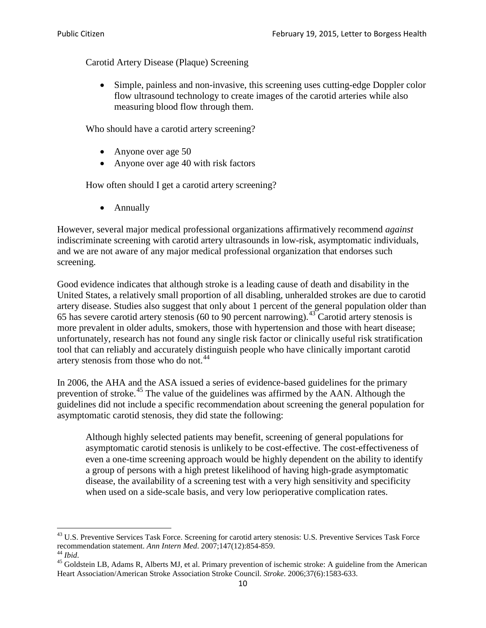Carotid Artery Disease (Plaque) Screening

• Simple, painless and non-invasive, this screening uses cutting-edge Doppler color flow ultrasound technology to create images of the carotid arteries while also measuring blood flow through them.

Who should have a carotid artery screening?

- Anyone over age 50
- Anyone over age 40 with risk factors

How often should I get a carotid artery screening?

• Annually

However, several major medical professional organizations affirmatively recommend *against* indiscriminate screening with carotid artery ultrasounds in low-risk, asymptomatic individuals, and we are not aware of any major medical professional organization that endorses such screening.

Good evidence indicates that although stroke is a leading cause of death and disability in the United States, a relatively small proportion of all disabling, unheralded strokes are due to carotid artery disease. Studies also suggest that only about 1 percent of the general population older than 65 has severe carotid artery stenosis (60 to 90 percent narrowing).<sup>[43](#page-9-0)</sup> Carotid artery stenosis is more prevalent in older adults, smokers, those with hypertension and those with heart disease; unfortunately, research has not found any single risk factor or clinically useful risk stratification tool that can reliably and accurately distinguish people who have clinically important carotid artery stenosis from those who do not.<sup>[44](#page-9-1)</sup>

In 2006, the AHA and the ASA issued a series of evidence-based guidelines for the primary prevention of stroke.<sup>[45](#page-9-2)</sup> The value of the guidelines was affirmed by the AAN. Although the guidelines did not include a specific recommendation about screening the general population for asymptomatic carotid stenosis, they did state the following:

Although highly selected patients may benefit, screening of general populations for asymptomatic carotid stenosis is unlikely to be cost-effective. The cost-effectiveness of even a one-time screening approach would be highly dependent on the ability to identify a group of persons with a high pretest likelihood of having high-grade asymptomatic disease, the availability of a screening test with a very high sensitivity and specificity when used on a side-scale basis, and very low perioperative complication rates.

<span id="page-9-0"></span> $^{43}$  U.S. Preventive Services Task Force. Screening for carotid artery stenosis: U.S. Preventive Services Task Force recommendation statement. Ann Intern Med. 2007;147(12):854-859.

<span id="page-9-2"></span><span id="page-9-1"></span><sup>&</sup>lt;sup>44</sup> *Ibid*. <sup>45</sup> Goldstein LB, Adams R, Alberts MJ, et al. Primary prevention of ischemic stroke: A guideline from the American <sup>45</sup> Goldstein LB, Adams R, Alberts MJ, et al. Primary prevention of ischemic stroke: A guide Heart Association/American Stroke Association Stroke Council. *Stroke*. 2006;37(6):1583-633.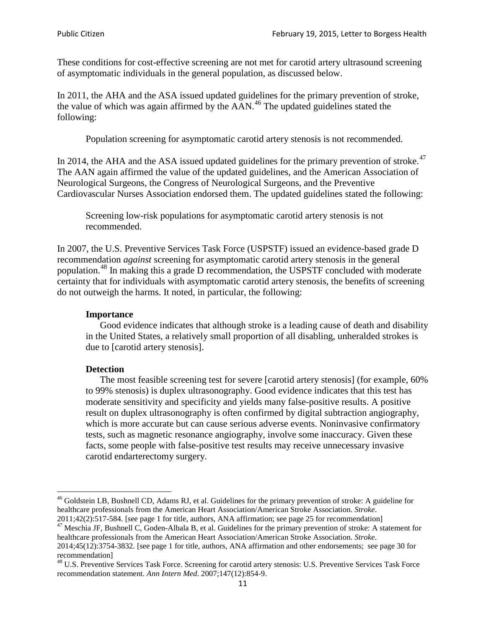These conditions for cost-effective screening are not met for carotid artery ultrasound screening of asymptomatic individuals in the general population, as discussed below.

In 2011, the AHA and the ASA issued updated guidelines for the primary prevention of stroke, the value of which was again affirmed by the  $AAN<sup>46</sup>$  $AAN<sup>46</sup>$  $AAN<sup>46</sup>$ . The updated guidelines stated the following:

Population screening for asymptomatic carotid artery stenosis is not recommended.

In 2014, the AHA and the ASA issued updated guidelines for the primary prevention of stroke.<sup>47</sup> The AAN again affirmed the value of the updated guidelines, and the American Association of Neurological Surgeons, the Congress of Neurological Surgeons, and the Preventive Cardiovascular Nurses Association endorsed them. The updated guidelines stated the following:

Screening low-risk populations for asymptomatic carotid artery stenosis is not recommended.

In 2007, the U.S. Preventive Services Task Force (USPSTF) issued an evidence-based grade D recommendation *against* screening for asymptomatic carotid artery stenosis in the general population.[48](#page-10-2) In making this a grade D recommendation, the USPSTF concluded with moderate certainty that for individuals with asymptomatic carotid artery stenosis, the benefits of screening do not outweigh the harms. It noted, in particular, the following:

#### **Importance**

Good evidence indicates that although stroke is a leading cause of death and disability in the United States, a relatively small proportion of all disabling, unheralded strokes is due to [carotid artery stenosis].

#### **Detection**

The most feasible screening test for severe [carotid artery stenosis] (for example, 60% to 99% stenosis) is duplex ultrasonography. Good evidence indicates that this test has moderate sensitivity and specificity and yields many false-positive results. A positive result on duplex ultrasonography is often confirmed by digital subtraction angiography, which is more accurate but can cause serious adverse events. Noninvasive confirmatory tests, such as magnetic resonance angiography, involve some inaccuracy. Given these facts, some people with false-positive test results may receive unnecessary invasive carotid endarterectomy surgery.

<span id="page-10-0"></span><sup>&</sup>lt;sup>46</sup> Goldstein LB, Bushnell CD, Adams RJ, et al. Guidelines for the primary prevention of stroke: A guideline for healthcare professionals from the American Heart Association/American Stroke Association. *Stroke*.<br>2011;42(2):517-584. [see page 1 for title, authors, ANA affirmation; see page 25 for recommendation]

<span id="page-10-1"></span><sup>&</sup>lt;sup>47</sup> Meschia JF, Bushnell C, Goden-Albala B, et al. Guidelines for the primary prevention of stroke: A statement for healthcare professionals from the American Heart Association/American Stroke Association. *Stroke*. 2014;45(12):3754-3832. [see page 1 for title, authors, ANA affirmation and other endorsements; see page 30 for

recommendation]

<span id="page-10-2"></span><sup>&</sup>lt;sup>48</sup> U.S. Preventive Services Task Force. Screening for carotid artery stenosis: U.S. Preventive Services Task Force recommendation statement. *Ann Intern Med*. 2007;147(12):854-9.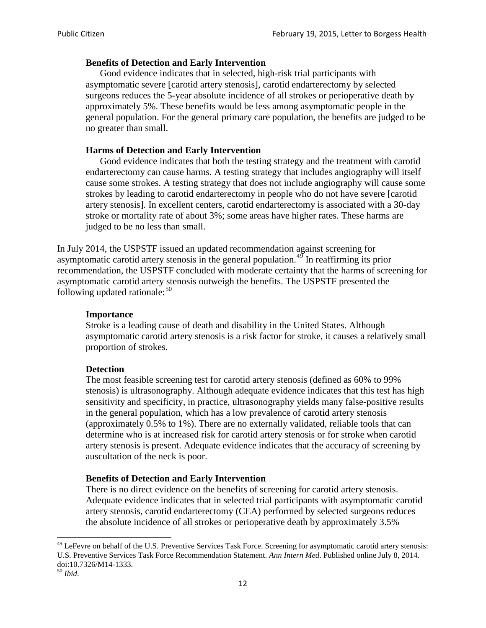### **Benefits of Detection and Early Intervention**

Good evidence indicates that in selected, high-risk trial participants with asymptomatic severe [carotid artery stenosis], carotid endarterectomy by selected surgeons reduces the 5-year absolute incidence of all strokes or perioperative death by approximately 5%. These benefits would be less among asymptomatic people in the general population. For the general primary care population, the benefits are judged to be no greater than small.

### **Harms of Detection and Early Intervention**

Good evidence indicates that both the testing strategy and the treatment with carotid endarterectomy can cause harms. A testing strategy that includes angiography will itself cause some strokes. A testing strategy that does not include angiography will cause some strokes by leading to carotid endarterectomy in people who do not have severe [carotid artery stenosis]. In excellent centers, carotid endarterectomy is associated with a 30-day stroke or mortality rate of about 3%; some areas have higher rates. These harms are judged to be no less than small.

In July 2014, the USPSTF issued an updated recommendation against screening for asymptomatic carotid artery stenosis in the general population.<sup>[49](#page-11-0)</sup> In reaffirming its prior recommendation, the USPSTF concluded with moderate certainty that the harms of screening for asymptomatic carotid artery stenosis outweigh the benefits. The USPSTF presented the following updated rationale: $50$ 

#### **Importance**

Stroke is a leading cause of death and disability in the United States. Although asymptomatic carotid artery stenosis is a risk factor for stroke, it causes a relatively small proportion of strokes.

#### **Detection**

The most feasible screening test for carotid artery stenosis (defined as 60% to 99% stenosis) is ultrasonography. Although adequate evidence indicates that this test has high sensitivity and specificity, in practice, ultrasonography yields many false-positive results in the general population, which has a low prevalence of carotid artery stenosis (approximately 0.5% to 1%). There are no externally validated, reliable tools that can determine who is at increased risk for carotid artery stenosis or for stroke when carotid artery stenosis is present. Adequate evidence indicates that the accuracy of screening by auscultation of the neck is poor.

## **Benefits of Detection and Early Intervention**

There is no direct evidence on the benefits of screening for carotid artery stenosis. Adequate evidence indicates that in selected trial participants with asymptomatic carotid artery stenosis, carotid endarterectomy (CEA) performed by selected surgeons reduces the absolute incidence of all strokes or perioperative death by approximately 3.5%

<span id="page-11-0"></span><sup>&</sup>lt;sup>49</sup> LeFevre on behalf of the U.S. Preventive Services Task Force. Screening for asymptomatic carotid artery stenosis: U.S. Preventive Services Task Force Recommendation Statement. *Ann Intern Med*. Published online July 8, 2014. doi:10.7326/M14-1333. <sup>50</sup> *Ibid*.

<span id="page-11-1"></span>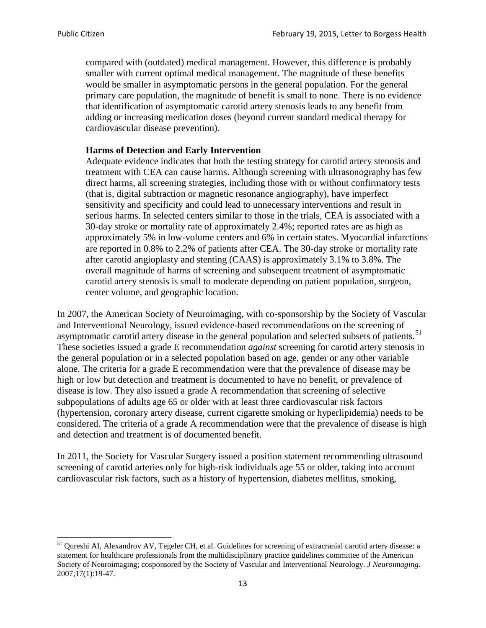compared with (outdated) medical management. However, this difference is probably smaller with current optimal medical management. The magnitude of these benefits would be smaller in asymptomatic persons in the general population. For the general primary care population, the magnitude of benefit is small to none. There is no evidence that identification of asymptomatic carotid artery stenosis leads to any benefit from adding or increasing medication doses (beyond current standard medical therapy for cardiovascular disease prevention).

#### **Harms of Detection and Early Intervention**

Adequate evidence indicates that both the testing strategy for carotid artery stenosis and treatment with CEA can cause harms. Although screening with ultrasonography has few direct harms, all screening strategies, including those with or without confirmatory tests (that is, digital subtraction or magnetic resonance angiography), have imperfect sensitivity and specificity and could lead to unnecessary interventions and result in serious harms. In selected centers similar to those in the trials, CEA is associated with a 30-day stroke or mortality rate of approximately 2.4%; reported rates are as high as approximately 5% in low-volume centers and 6% in certain states. Myocardial infarctions are reported in 0.8% to 2.2% of patients after CEA. The 30-day stroke or mortality rate after carotid angioplasty and stenting (CAAS) is approximately 3.1% to 3.8%. The overall magnitude of harms of screening and subsequent treatment of asymptomatic carotid artery stenosis is small to moderate depending on patient population, surgeon, center volume, and geographic location.

In 2007, the American Society of Neuroimaging, with co-sponsorship by the Society of Vascular and Interventional Neurology, issued evidence-based recommendations on the screening of asymptomatic carotid artery disease in the general population and selected subsets of patients.<sup>[51](#page-12-0)</sup> These societies issued a grade E recommendation *against* screening for carotid artery stenosis in the general population or in a selected population based on age, gender or any other variable alone. The criteria for a grade E recommendation were that the prevalence of disease may be high or low but detection and treatment is documented to have no benefit, or prevalence of disease is low. They also issued a grade A recommendation that screening of selective subpopulations of adults age 65 or older with at least three cardiovascular risk factors (hypertension, coronary artery disease, current cigarette smoking or hyperlipidemia) needs to be considered. The criteria of a grade A recommendation were that the prevalence of disease is high and detection and treatment is of documented benefit.

In 2011, the Society for Vascular Surgery issued a position statement recommending ultrasound screening of carotid arteries only for high-risk individuals age 55 or older, taking into account cardiovascular risk factors, such as a history of hypertension, diabetes mellitus, smoking,

<span id="page-12-0"></span><sup>&</sup>lt;sup>51</sup> Qureshi AI, Alexandrov AV, Tegeler CH, et al. Guidelines for screening of extracranial carotid artery disease: a statement for healthcare professionals from the multidisciplinary practice guidelines committee of the American Society of Neuroimaging; cosponsored by the Society of Vascular and Interventional Neurology. *J Neuroimaging*. 2007;17(1):19-47.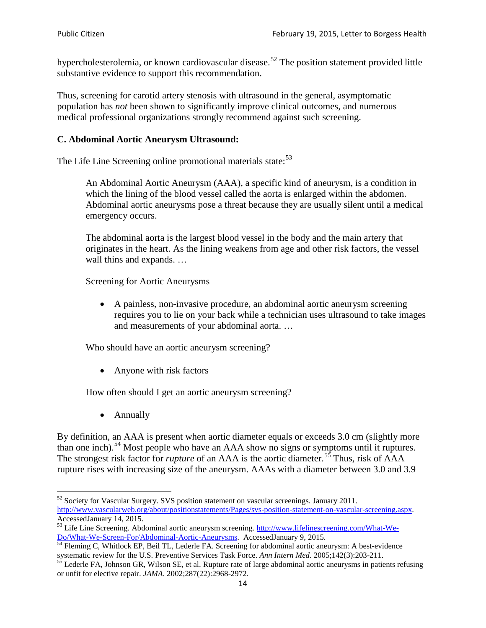hypercholesterolemia, or known cardiovascular disease.<sup>[52](#page-13-0)</sup> The position statement provided little substantive evidence to support this recommendation.

Thus, screening for carotid artery stenosis with ultrasound in the general, asymptomatic population has *not* been shown to significantly improve clinical outcomes, and numerous medical professional organizations strongly recommend against such screening.

#### **C. Abdominal Aortic Aneurysm Ultrasound:**

The Life Line Screening online promotional materials state:<sup>[53](#page-13-1)</sup>

An Abdominal Aortic Aneurysm (AAA), a specific kind of aneurysm, is a condition in which the lining of the blood vessel called the aorta is enlarged within the abdomen. Abdominal aortic aneurysms pose a threat because they are usually silent until a medical emergency occurs.

The abdominal aorta is the largest blood vessel in the body and the main artery that originates in the heart. As the lining weakens from age and other risk factors, the vessel wall thins and expands. …

Screening for Aortic Aneurysms

• A painless, non-invasive procedure, an abdominal aortic aneurysm screening requires you to lie on your back while a technician uses ultrasound to take images and measurements of your abdominal aorta. …

Who should have an aortic aneurysm screening?

• Anyone with risk factors

How often should I get an aortic aneurysm screening?

• Annually

By definition, an AAA is present when aortic diameter equals or exceeds 3.0 cm (slightly more than one inch).<sup>[54](#page-13-2)</sup> Most people who have an AAA show no signs or symptoms until it ruptures. The strongest risk factor for *rupture* of an AAA is the aortic diameter.<sup>[55](#page-13-3)</sup> Thus, risk of AAA rupture rises with increasing size of the aneurysm. AAAs with a diameter between 3.0 and 3.9

<span id="page-13-0"></span> $52$  Society for Vascular Surgery. SVS position statement on vascular screenings. January 2011. http://www.vascularweb.org/about/positionstatements/Pages/svs-position-statement-on-vascular-screening.aspx.<br>Accessed January 14, 2015.

<span id="page-13-1"></span>Accessed Line Screening. Abdominal aortic aneurysm screening. http://www.lifelinescreening.com/What-We-<br>Do/What-We-Screen-For/Abdominal-Aortic-Aneurysms. Accessed January 9, 2015.

<span id="page-13-2"></span> $\frac{1}{54}$  Fleming C, Whitlock EP, Beil TL, Lederle FA. Screening for abdominal aortic aneurysm: A best-evidence systematic review for the U.S. Preventive Services Task Force. *Ann Intern Med.* 2005;142(3):203-211.<br><sup>55</sup> Lederle FA, Johnson GR, Wilson SE, et al. Rupture rate of large abdominal aortic aneurysms in patients refusing

<span id="page-13-3"></span>or unfit for elective repair. *JAMA*. 2002;287(22):2968-2972.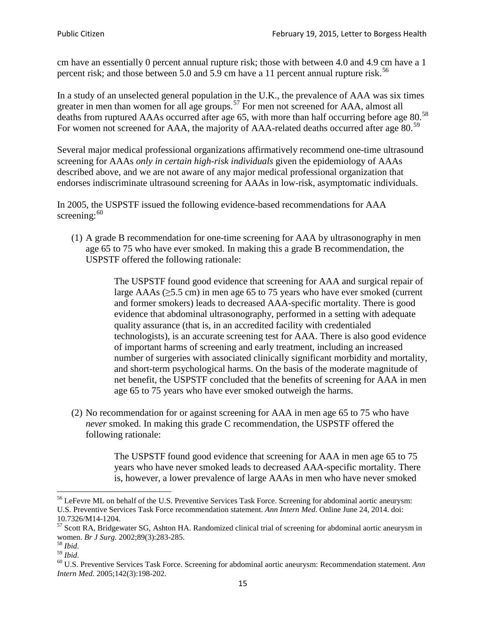cm have an essentially 0 percent annual rupture risk; those with between 4.0 and 4.9 cm have a 1 percent risk; and those between 5.0 and 5.9 cm have a 11 percent annual rupture risk.<sup>[56](#page-14-0)</sup>

In a study of an unselected general population in the U.K., the prevalence of AAA was six times greater in men than women for all age groups.<sup>[57](#page-14-1)</sup> For men not screened for  $AAA$ , almost all deaths from ruptured AAAs occurred after age 65, with more than half occurring before age 80.<sup>[58](#page-14-2)</sup> For women not screened for AAA, the majority of AAA-related deaths occurred after age 80.<sup>[59](#page-14-3)</sup>

Several major medical professional organizations affirmatively recommend one-time ultrasound screening for AAAs *only in certain high-risk individuals* given the epidemiology of AAAs described above, and we are not aware of any major medical professional organization that endorses indiscriminate ultrasound screening for AAAs in low-risk, asymptomatic individuals.

In 2005, the USPSTF issued the following evidence-based recommendations for AAA screening:  $60$ 

(1) A grade B recommendation for one-time screening for AAA by ultrasonography in men age 65 to 75 who have ever smoked. In making this a grade [B recommendation,](http://www.uspreventiveservicestaskforce.org/uspstf/gradespre.htm#brec) the USPSTF offered the following rationale:

> The USPSTF found good evidence that screening for AAA and surgical repair of large AAAs ( $\geq$ 5.5 cm) in men age 65 to 75 years who have ever smoked (current and former smokers) leads to decreased AAA-specific mortality. There is good evidence that abdominal ultrasonography, performed in a setting with adequate quality assurance (that is, in an accredited facility with credentialed technologists), is an accurate screening test for AAA. There is also good evidence of important harms of screening and early treatment, including an increased number of surgeries with associated clinically significant morbidity and mortality, and short-term psychological harms. On the basis of the moderate magnitude of net benefit, the USPSTF concluded that the benefits of screening for AAA in men age 65 to 75 years who have ever smoked outweigh the harms.

(2) No recommendation for or against screening for AAA in men age 65 to 75 who have *never* smoked. In making this grade C recommendation, the USPSTF offered the following rationale:

> The USPSTF found good evidence that screening for AAA in men age 65 to 75 years who have never smoked leads to decreased AAA-specific mortality. There is, however, a lower prevalence of large AAAs in men who have never smoked

<span id="page-14-0"></span><sup>&</sup>lt;sup>56</sup> LeFevre ML on behalf of the U.S. Preventive Services Task Force. Screening for abdominal aortic aneurysm: U.S. Preventive Services Task Force recommendation statement. *Ann Intern Med*. Online June 24, 2014. doi:

<span id="page-14-1"></span><sup>10.7326/</sup>M14-1204.<br> $57$  Scott RA, Bridgewater SG, Ashton HA. Randomized clinical trial of screening for abdominal aortic aneurysm in women. *Br J Surg.* 2002;89(3):283-285.

<span id="page-14-4"></span><span id="page-14-3"></span>

<span id="page-14-2"></span><sup>&</sup>lt;sup>58</sup> *Ibid.*<br><sup>59</sup> *Ibid. Comen. Breeft Bervices Task Force. Screening for abdominal aortic aneurysm: Recommendation statement. <i>Ann* <sup>60</sup> U.S. Preventive Services Task Force. Screening for abdominal aortic aneurysm: Re *Intern Med*. 2005;142(3):198-202.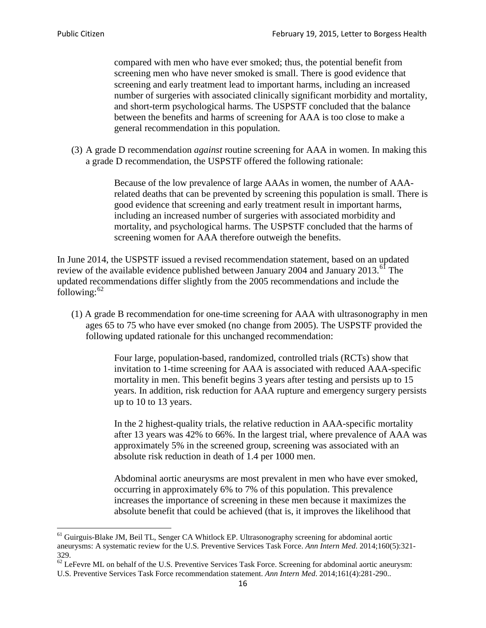compared with men who have ever smoked; thus, the potential benefit from screening men who have never smoked is small. There is good evidence that screening and early treatment lead to important harms, including an increased number of surgeries with associated clinically significant morbidity and mortality, and short-term psychological harms. The USPSTF concluded that the balance between the benefits and harms of screening for AAA is too close to make a general recommendation in this population.

(3) A grade D recommendation *against* routine screening for AAA in women. In making this a grade D recommendation, the USPSTF offered the following rationale:

> Because of the low prevalence of large AAAs in women, the number of AAArelated deaths that can be prevented by screening this population is small. There is good evidence that screening and early treatment result in important harms, including an increased number of surgeries with associated morbidity and mortality, and psychological harms. The USPSTF concluded that the harms of screening women for AAA therefore outweigh the benefits.

In June 2014, the USPSTF issued a revised recommendation statement, based on an updated review of the available evidence published between January 2004 and January 2013.<sup>[61](#page-15-0)</sup> The updated recommendations differ slightly from the 2005 recommendations and include the following: $62$ 

(1) A grade B recommendation for one-time screening for AAA with ultrasonography in men ages 65 to 75 who have ever smoked (no change from 2005). The USPSTF provided the following updated rationale for this unchanged recommendation:

> Four large, population-based, randomized, controlled trials (RCTs) show that invitation to 1-time screening for AAA is associated with reduced AAA-specific mortality in men. This benefit begins 3 years after testing and persists up to 15 years. In addition, risk reduction for AAA rupture and emergency surgery persists up to 10 to 13 years.

> In the 2 highest-quality trials, the relative reduction in AAA-specific mortality after 13 years was 42% to 66%. In the largest trial, where prevalence of AAA was approximately 5% in the screened group, screening was associated with an absolute risk reduction in death of 1.4 per 1000 men.

Abdominal aortic aneurysms are most prevalent in men who have ever smoked, occurring in approximately 6% to 7% of this population. This prevalence increases the importance of screening in these men because it maximizes the absolute benefit that could be achieved (that is, it improves the likelihood that

<span id="page-15-0"></span><sup>61</sup> Guirguis-Blake JM, Beil TL, Senger CA Whitlock EP. Ultrasonography screening for abdominal aortic aneurysms: A systematic review for the U.S. Preventive Services Task Force. *Ann Intern Med*. 2014;160(5):321- 329.

<span id="page-15-1"></span> $62$  LeFevre ML on behalf of the U.S. Preventive Services Task Force. Screening for abdominal aortic aneurysm: U.S. Preventive Services Task Force recommendation statement. *Ann Intern Med*. 2014;161(4):281-290..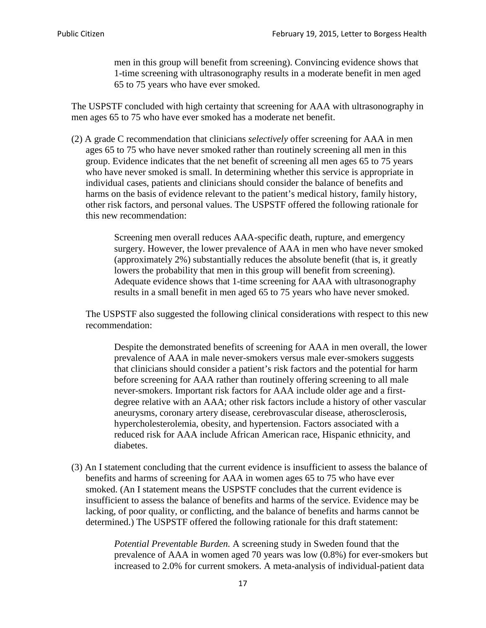men in this group will benefit from screening). Convincing evidence shows that 1-time screening with ultrasonography results in a moderate benefit in men aged 65 to 75 years who have ever smoked.

The USPSTF concluded with high certainty that screening for AAA with ultrasonography in men ages 65 to 75 who have ever smoked has a moderate net benefit.

(2) A grade C recommendation that clinicians *selectively* offer screening for AAA in men ages 65 to 75 who have never smoked rather than routinely screening all men in this group. Evidence indicates that the net benefit of screening all men ages 65 to 75 years who have never smoked is small. In determining whether this service is appropriate in individual cases, patients and clinicians should consider the balance of benefits and harms on the basis of evidence relevant to the patient's medical history, family history, other risk factors, and personal values. The USPSTF offered the following rationale for this new recommendation:

> Screening men overall reduces AAA-specific death, rupture, and emergency surgery. However, the lower prevalence of AAA in men who have never smoked (approximately 2%) substantially reduces the absolute benefit (that is, it greatly lowers the probability that men in this group will benefit from screening). Adequate evidence shows that 1-time screening for AAA with ultrasonography results in a small benefit in men aged 65 to 75 years who have never smoked.

The USPSTF also suggested the following clinical considerations with respect to this new recommendation:

Despite the demonstrated benefits of screening for AAA in men overall, the lower prevalence of AAA in male never-smokers versus male ever-smokers suggests that clinicians should consider a patient's risk factors and the potential for harm before screening for AAA rather than routinely offering screening to all male never-smokers. Important risk factors for AAA include older age and a firstdegree relative with an AAA; other risk factors include a history of other vascular aneurysms, coronary artery disease, cerebrovascular disease, atherosclerosis, hypercholesterolemia, obesity, and hypertension. Factors associated with a reduced risk for AAA include African American race, Hispanic ethnicity, and diabetes.

(3) An I statement concluding that the current evidence is insufficient to assess the balance of benefits and harms of screening for AAA in women ages 65 to 75 who have ever smoked. (An I statement means the USPSTF concludes that the current evidence is insufficient to assess the balance of benefits and harms of the service. Evidence may be lacking, of poor quality, or conflicting, and the balance of benefits and harms cannot be determined.) The USPSTF offered the following rationale for this draft statement:

> *Potential Preventable Burden.* A screening study in Sweden found that the prevalence of AAA in women aged 70 years was low (0.8%) for ever-smokers but increased to 2.0% for current smokers. A meta-analysis of individual-patient data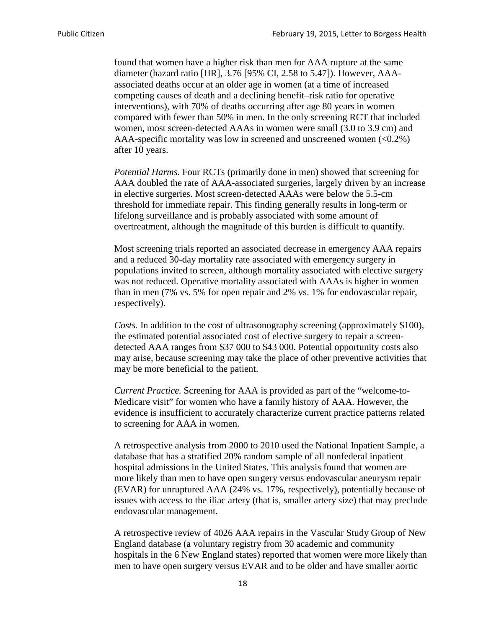found that women have a higher risk than men for AAA rupture at the same diameter (hazard ratio [HR], 3.76 [95% CI, 2.58 to 5.47]). However, AAAassociated deaths occur at an older age in women (at a time of increased competing causes of death and a declining benefit–risk ratio for operative interventions), with 70% of deaths occurring after age 80 years in women compared with fewer than 50% in men. In the only screening RCT that included women, most screen-detected AAAs in women were small (3.0 to 3.9 cm) and AAA-specific mortality was low in screened and unscreened women  $(<0.2\%)$ after 10 years.

*Potential Harms.* Four RCTs (primarily done in men) showed that screening for AAA doubled the rate of AAA-associated surgeries, largely driven by an increase in elective surgeries. Most screen-detected AAAs were below the 5.5-cm threshold for immediate repair. This finding generally results in long-term or lifelong surveillance and is probably associated with some amount of overtreatment, although the magnitude of this burden is difficult to quantify.

Most screening trials reported an associated decrease in emergency AAA repairs and a reduced 30-day mortality rate associated with emergency surgery in populations invited to screen, although mortality associated with elective surgery was not reduced. Operative mortality associated with AAAs is higher in women than in men (7% vs. 5% for open repair and 2% vs. 1% for endovascular repair, respectively).

*Costs.* In addition to the cost of ultrasonography screening (approximately \$100), the estimated potential associated cost of elective surgery to repair a screendetected AAA ranges from \$37 000 to \$43 000. Potential opportunity costs also may arise, because screening may take the place of other preventive activities that may be more beneficial to the patient.

*Current Practice.* Screening for AAA is provided as part of the "welcome-to-Medicare visit" for women who have a family history of AAA. However, the evidence is insufficient to accurately characterize current practice patterns related to screening for AAA in women.

A retrospective analysis from 2000 to 2010 used the National Inpatient Sample, a database that has a stratified 20% random sample of all nonfederal inpatient hospital admissions in the United States. This analysis found that women are more likely than men to have open surgery versus endovascular aneurysm repair (EVAR) for unruptured AAA (24% vs. 17%, respectively), potentially because of issues with access to the iliac artery (that is, smaller artery size) that may preclude endovascular management.

A retrospective review of 4026 AAA repairs in the Vascular Study Group of New England database (a voluntary registry from 30 academic and community hospitals in the 6 New England states) reported that women were more likely than men to have open surgery versus EVAR and to be older and have smaller aortic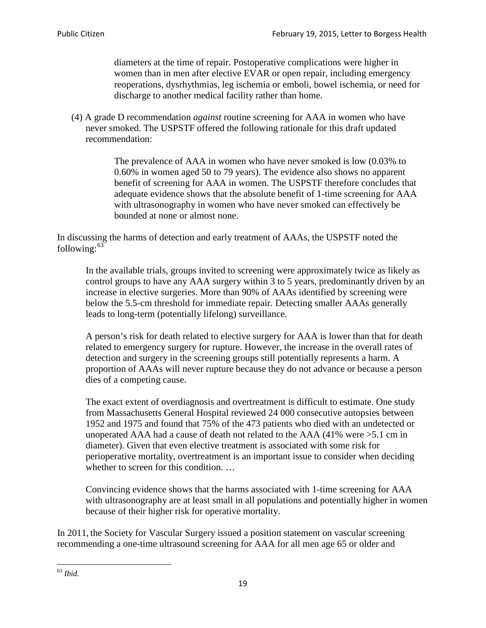diameters at the time of repair. Postoperative complications were higher in women than in men after elective EVAR or open repair, including emergency reoperations, dysrhythmias, leg ischemia or emboli, bowel ischemia, or need for discharge to another medical facility rather than home.

(4) A grade D recommendation *against* routine screening for AAA in women who have never smoked. The USPSTF offered the following rationale for this draft updated recommendation:

> The prevalence of AAA in women who have never smoked is low (0.03% to 0.60% in women aged 50 to 79 years). The evidence also shows no apparent benefit of screening for AAA in women. The USPSTF therefore concludes that adequate evidence shows that the absolute benefit of 1-time screening for AAA with ultrasonography in women who have never smoked can effectively be bounded at none or almost none.

In discussing the harms of detection and early treatment of AAAs, the USPSTF noted the following: $63$ 

In the available trials, groups invited to screening were approximately twice as likely as control groups to have any AAA surgery within 3 to 5 years, predominantly driven by an increase in elective surgeries. More than 90% of AAAs identified by screening were below the 5.5-cm threshold for immediate repair. Detecting smaller AAAs generally leads to long-term (potentially lifelong) surveillance.

A person's risk for death related to elective surgery for AAA is lower than that for death related to emergency surgery for rupture. However, the increase in the overall rates of detection and surgery in the screening groups still potentially represents a harm. A proportion of AAAs will never rupture because they do not advance or because a person dies of a competing cause.

The exact extent of overdiagnosis and overtreatment is difficult to estimate. One study from Massachusetts General Hospital reviewed 24 000 consecutive autopsies between 1952 and 1975 and found that 75% of the 473 patients who died with an undetected or unoperated AAA had a cause of death not related to the AAA (41% were >5.1 cm in diameter). Given that even elective treatment is associated with some risk for perioperative mortality, overtreatment is an important issue to consider when deciding whether to screen for this condition....

Convincing evidence shows that the harms associated with 1-time screening for AAA with ultrasonography are at least small in all populations and potentially higher in women because of their higher risk for operative mortality.

In 2011, the Society for Vascular Surgery issued a position statement on vascular screening recommending a one-time ultrasound screening for AAA for all men age 65 or older and

<span id="page-18-0"></span><sup>63</sup> *Ibid*.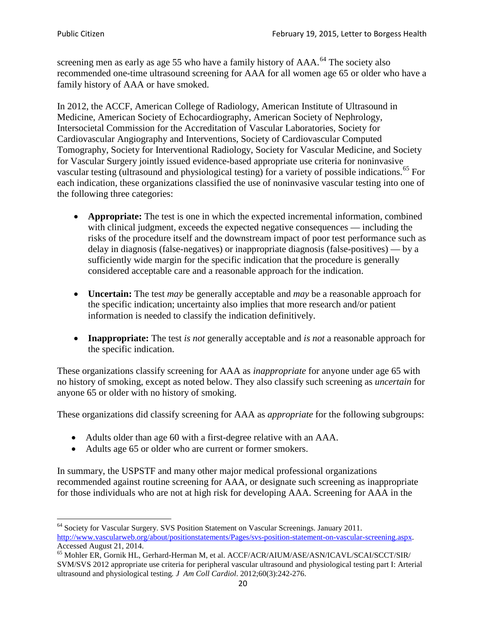screening men as early as age 55 who have a family history of AAA.<sup>[64](#page-19-0)</sup> The society also recommended one-time ultrasound screening for AAA for all women age 65 or older who have a family history of AAA or have smoked.

In 2012, the ACCF, American College of Radiology, American Institute of Ultrasound in Medicine, American Society of Echocardiography, American Society of Nephrology, Intersocietal Commission for the Accreditation of Vascular Laboratories, Society for Cardiovascular Angiography and Interventions, Society of Cardiovascular Computed Tomography, Society for Interventional Radiology, Society for Vascular Medicine, and Society for Vascular Surgery jointly issued evidence-based appropriate use criteria for noninvasive vascular testing (ultrasound and physiological testing) for a variety of possible indications.<sup>[65](#page-19-1)</sup> For each indication, these organizations classified the use of noninvasive vascular testing into one of the following three categories:

- **Appropriate:** The test is one in which the expected incremental information, combined with clinical judgment, exceeds the expected negative consequences — including the risks of the procedure itself and the downstream impact of poor test performance such as delay in diagnosis (false-negatives) or inappropriate diagnosis (false-positives) — by a sufficiently wide margin for the specific indication that the procedure is generally considered acceptable care and a reasonable approach for the indication.
- **Uncertain:** The test *may* be generally acceptable and *may* be a reasonable approach for the specific indication; uncertainty also implies that more research and/or patient information is needed to classify the indication definitively.
- **Inappropriate:** The test *is not* generally acceptable and *is not* a reasonable approach for the specific indication.

These organizations classify screening for AAA as *inappropriate* for anyone under age 65 with no history of smoking, except as noted below. They also classify such screening as *uncertain* for anyone 65 or older with no history of smoking.

These organizations did classify screening for AAA as *appropriate* for the following subgroups:

- Adults older than age 60 with a first-degree relative with an AAA.
- Adults age 65 or older who are current or former smokers.

In summary, the USPSTF and many other major medical professional organizations recommended against routine screening for AAA, or designate such screening as inappropriate for those individuals who are not at high risk for developing AAA. Screening for AAA in the

<span id="page-19-0"></span><sup>64</sup> Society for Vascular Surgery. SVS Position Statement on Vascular Screenings. January 2011. [http://www.vascularweb.org/about/positionstatements/Pages/svs-position-statement-on-vascular-screening.aspx.](http://www.vascularweb.org/about/positionstatements/Pages/svs-position-statement-on-vascular-screening.aspx) 

<span id="page-19-1"></span>Accessed August 21, 2014.<br><sup>65</sup> Mohler ER, Gornik HL, Gerhard-Herman M, et al. ACCF/ACR/AIUM/ASE/ASN/ICAVL/SCAI/SCCT/SIR/ SVM/SVS 2012 appropriate use criteria for peripheral vascular ultrasound and physiological testing part I: Arterial ultrasound and physiological testing*. J Am Coll Cardiol*. 2012;60(3):242-276.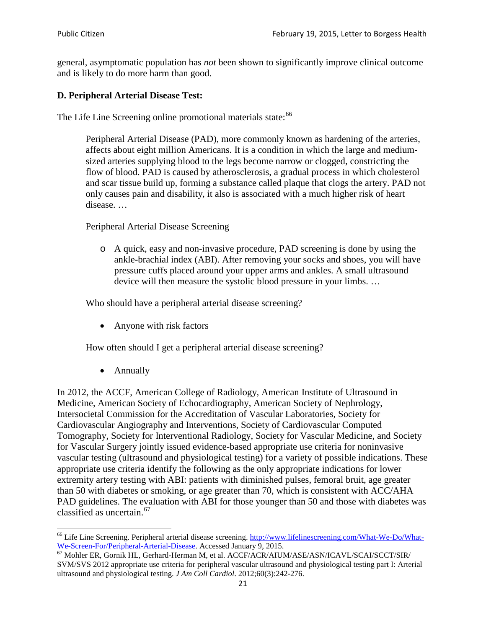general, asymptomatic population has *not* been shown to significantly improve clinical outcome and is likely to do more harm than good.

## **D. Peripheral Arterial Disease Test:**

The Life Line Screening online promotional materials state:<sup>[66](#page-20-0)</sup>

Peripheral Arterial Disease (PAD), more commonly known as hardening of the arteries, affects about eight million Americans. It is a condition in which the large and mediumsized arteries supplying blood to the legs become narrow or clogged, constricting the flow of blood. PAD is caused by atherosclerosis, a gradual process in which cholesterol and scar tissue build up, forming a substance called plaque that clogs the artery. PAD not only causes pain and disability, it also is associated with a much higher risk of heart disease. …

Peripheral Arterial Disease Screening

o A quick, easy and non-invasive procedure, PAD screening is done by using the ankle-brachial index (ABI). After removing your socks and shoes, you will have pressure cuffs placed around your upper arms and ankles. A small ultrasound device will then measure the systolic blood pressure in your limbs. …

Who should have a peripheral arterial disease screening?

• Anyone with risk factors

How often should I get a peripheral arterial disease screening?

• Annually

In 2012, the ACCF, American College of Radiology, American Institute of Ultrasound in Medicine, American Society of Echocardiography, American Society of Nephrology, Intersocietal Commission for the Accreditation of Vascular Laboratories, Society for Cardiovascular Angiography and Interventions, Society of Cardiovascular Computed Tomography, Society for Interventional Radiology, Society for Vascular Medicine, and Society for Vascular Surgery jointly issued evidence-based appropriate use criteria for noninvasive vascular testing (ultrasound and physiological testing) for a variety of possible indications. These appropriate use criteria identify the following as the only appropriate indications for lower extremity artery testing with ABI: patients with diminished pulses, femoral bruit, age greater than 50 with diabetes or smoking, or age greater than 70, which is consistent with ACC/AHA PAD guidelines. The evaluation with ABI for those younger than 50 and those with diabetes was classified as uncertain.<sup>[67](#page-20-1)</sup>

<span id="page-20-0"></span><sup>&</sup>lt;sup>66</sup> Life Line Screening. Peripheral arterial disease screening. [http://www.lifelinescreening.com/What-We-Do/What-](http://www.lifelinescreening.com/What-We-Do/What-We-Screen-For/Peripheral-Arterial-Disease)

<span id="page-20-1"></span>[We-Screen-For/Peripheral-Arterial-Disease.](http://www.lifelinescreening.com/What-We-Do/What-We-Screen-For/Peripheral-Arterial-Disease) Accessed January 9, 2015.<br><sup>67</sup> Mohler ER, Gornik HL, Gerhard-Herman M, et al. ACCF/ACR/AIUM/ASE/ASN/ICAVL/SCAI/SCCT/SIR/ SVM/SVS 2012 appropriate use criteria for peripheral vascular ultrasound and physiological testing part I: Arterial ultrasound and physiological testing. *J Am Coll Cardiol*. 2012;60(3):242-276.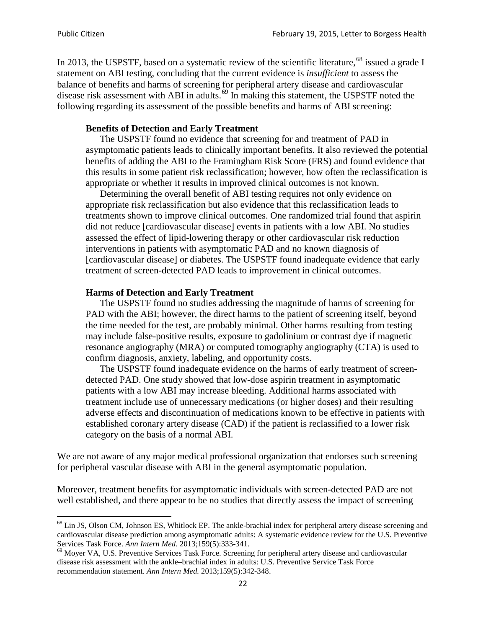In 2013, the USPSTF, based on a systematic review of the scientific literature,<sup>[68](#page-21-0)</sup> issued a grade I statement on ABI testing, concluding that the current evidence is *insufficient* to assess the balance of benefits and harms of screening for peripheral artery disease and cardiovascular disease risk assessment with ABI in adults.<sup>[69](#page-21-1)</sup> In making this statement, the USPSTF noted the following regarding its assessment of the possible benefits and harms of ABI screening:

#### **Benefits of Detection and Early Treatment**

The USPSTF found no evidence that screening for and treatment of PAD in asymptomatic patients leads to clinically important benefits. It also reviewed the potential benefits of adding the ABI to the Framingham Risk Score (FRS) and found evidence that this results in some patient risk reclassification; however, how often the reclassification is appropriate or whether it results in improved clinical outcomes is not known.

Determining the overall benefit of ABI testing requires not only evidence on appropriate risk reclassification but also evidence that this reclassification leads to treatments shown to improve clinical outcomes. One randomized trial found that aspirin did not reduce [cardiovascular disease] events in patients with a low ABI. No studies assessed the effect of lipid-lowering therapy or other cardiovascular risk reduction interventions in patients with asymptomatic PAD and no known diagnosis of [cardiovascular disease] or diabetes. The USPSTF found inadequate evidence that early treatment of screen-detected PAD leads to improvement in clinical outcomes.

#### **Harms of Detection and Early Treatment**

The USPSTF found no studies addressing the magnitude of harms of screening for PAD with the ABI; however, the direct harms to the patient of screening itself, beyond the time needed for the test, are probably minimal. Other harms resulting from testing may include false-positive results, exposure to gadolinium or contrast dye if magnetic resonance angiography (MRA) or computed tomography angiography (CTA) is used to confirm diagnosis, anxiety, labeling, and opportunity costs.

The USPSTF found inadequate evidence on the harms of early treatment of screendetected PAD. One study showed that low-dose aspirin treatment in asymptomatic patients with a low ABI may increase bleeding. Additional harms associated with treatment include use of unnecessary medications (or higher doses) and their resulting adverse effects and discontinuation of medications known to be effective in patients with established coronary artery disease (CAD) if the patient is reclassified to a lower risk category on the basis of a normal ABI.

We are not aware of any major medical professional organization that endorses such screening for peripheral vascular disease with ABI in the general asymptomatic population.

Moreover, treatment benefits for asymptomatic individuals with screen-detected PAD are not well established, and there appear to be no studies that directly assess the impact of screening

<span id="page-21-0"></span><sup>&</sup>lt;sup>68</sup> Lin JS, Olson CM, Johnson ES, Whitlock EP. The ankle-brachial index for peripheral artery disease screening and cardiovascular disease prediction among asymptomatic adults: A systematic evidence review for the U.S. Preventive Services Task Force. *Ann Intern Med.* 2013;159(5):333-341.<br><sup>69</sup> Moyer VA, U.S. Preventive Services Task Force. Screening for peripheral artery disease and cardiovascular

<span id="page-21-1"></span>disease risk assessment with the ankle–brachial index in adults: U.S. Preventive Service Task Force recommendation statement. *Ann Intern Med.* 2013;159(5):342-348.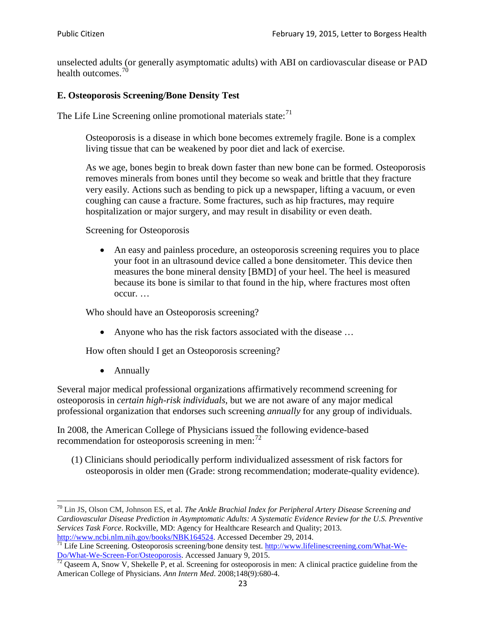unselected adults (or generally asymptomatic adults) with ABI on cardiovascular disease or PAD health outcomes.<sup>[70](#page-22-0)</sup>

#### **E. Osteoporosis Screening/Bone Density Test**

The Life Line Screening online promotional materials state: $71$ 

Osteoporosis is a disease in which bone becomes extremely fragile. Bone is a complex living tissue that can be weakened by poor diet and lack of exercise.

As we age, bones begin to break down faster than new bone can be formed. Osteoporosis removes minerals from bones until they become so weak and brittle that they fracture very easily. Actions such as bending to pick up a newspaper, lifting a vacuum, or even coughing can cause a fracture. Some fractures, such as hip fractures, may require hospitalization or major surgery, and may result in disability or even death.

Screening for Osteoporosis

• An easy and painless procedure, an osteoporosis screening requires you to place your foot in an ultrasound device called a bone densitometer. This device then measures the bone mineral density [BMD] of your heel. The heel is measured because its bone is similar to that found in the hip, where fractures most often occur. …

Who should have an Osteoporosis screening?

• Anyone who has the risk factors associated with the disease ...

How often should I get an Osteoporosis screening?

• Annually

Several major medical professional organizations affirmatively recommend screening for osteoporosis in *certain high-risk individuals*, but we are not aware of any major medical professional organization that endorses such screening *annually* for any group of individuals.

In 2008, the American College of Physicians issued the following evidence-based recommendation for osteoporosis screening in men: $^{72}$  $^{72}$  $^{72}$ 

(1) Clinicians should periodically perform individualized assessment of risk factors for osteoporosis in older men (Grade: strong recommendation; moderate-quality evidence).

<span id="page-22-0"></span><sup>70</sup> [Lin JS,](http://www.ncbi.nlm.nih.gov/pubmed?term=Lin%20JS%5BAuthor%5D&cauthor=true&cauthor_uid=24156115) [Olson CM,](http://www.ncbi.nlm.nih.gov/pubmed?term=Olson%20CM%5BAuthor%5D&cauthor=true&cauthor_uid=24156115) [Johnson ES,](http://www.ncbi.nlm.nih.gov/pubmed?term=Johnson%20ES%5BAuthor%5D&cauthor=true&cauthor_uid=24156115) et al. *The Ankle Brachial Index for Peripheral Artery Disease Screening and Cardiovascular Disease Prediction in Asymptomatic Adults: A Systematic Evidence Review for the U.S. Preventive Services Task Force*. Rockville, MD: Agency for Healthcare Research and Quality; 2013.<br>http://www.ncbi.nlm.nih.gov/books/NBK164524. Accessed December 29, 2014.

<span id="page-22-1"></span> $\frac{1}{71}$  Life Line Screening. Osteoporosis screening/bone density test. [http://www.lifelinescreening.com/What-We-](http://www.lifelinescreening.com/What-We-Do/What-We-Screen-For/Osteoporosis) $\frac{Do/What-We-Screen-For/Osteoporosis}{72}$  Qaseem A, Snow V, Shekelle P, et al. Screening for osteoporosis in men: A clinical practice guideline from the

<span id="page-22-2"></span>American College of Physicians. *Ann Intern Med*. 2008;148(9):680-4.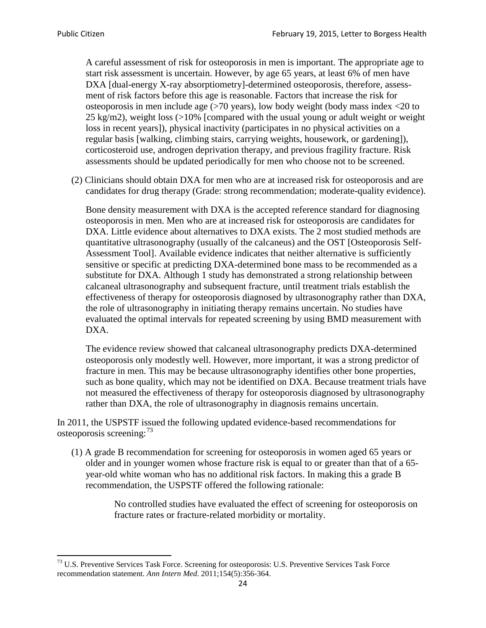A careful assessment of risk for osteoporosis in men is important. The appropriate age to start risk assessment is uncertain. However, by age 65 years, at least 6% of men have DXA [dual-energy X-ray absorptiometry]-determined osteoporosis, therefore, assessment of risk factors before this age is reasonable. Factors that increase the risk for osteoporosis in men include age (>70 years), low body weight (body mass index <20 to 25 kg/m2), weight loss (>10% [compared with the usual young or adult weight or weight loss in recent years]), physical inactivity (participates in no physical activities on a regular basis [walking, climbing stairs, carrying weights, housework, or gardening]), corticosteroid use, androgen deprivation therapy, and previous fragility fracture. Risk assessments should be updated periodically for men who choose not to be screened.

(2) Clinicians should obtain DXA for men who are at increased risk for osteoporosis and are candidates for drug therapy (Grade: strong recommendation; moderate-quality evidence).

Bone density measurement with DXA is the accepted reference standard for diagnosing osteoporosis in men. Men who are at increased risk for osteoporosis are candidates for DXA. Little evidence about alternatives to DXA exists. The 2 most studied methods are quantitative ultrasonography (usually of the calcaneus) and the OST [Osteoporosis Self-Assessment Tool]. Available evidence indicates that neither alternative is sufficiently sensitive or specific at predicting DXA-determined bone mass to be recommended as a substitute for DXA. Although 1 study has demonstrated a strong relationship between calcaneal ultrasonography and subsequent fracture, until treatment trials establish the effectiveness of therapy for osteoporosis diagnosed by ultrasonography rather than DXA, the role of ultrasonography in initiating therapy remains uncertain. No studies have evaluated the optimal intervals for repeated screening by using BMD measurement with DXA.

The evidence review showed that calcaneal ultrasonography predicts DXA-determined osteoporosis only modestly well. However, more important, it was a strong predictor of fracture in men. This may be because ultrasonography identifies other bone properties, such as bone quality, which may not be identified on DXA. Because treatment trials have not measured the effectiveness of therapy for osteoporosis diagnosed by ultrasonography rather than DXA, the role of ultrasonography in diagnosis remains uncertain.

In 2011, the USPSTF issued the following updated evidence-based recommendations for osteoporosis screening:<sup>[73](#page-23-0)</sup>

(1) A grade B recommendation for screening for osteoporosis in women aged 65 years or older and in younger women whose fracture risk is equal to or greater than that of a 65 year-old white woman who has no additional risk factors. In making this a grade B recommendation, the USPSTF offered the following rationale:

> No controlled studies have evaluated the effect of screening for osteoporosis on fracture rates or fracture-related morbidity or mortality.

<span id="page-23-0"></span><sup>&</sup>lt;sup>73</sup> U.S. Preventive Services Task Force. Screening for osteoporosis: U.S. Preventive Services Task Force recommendation statement. *Ann Intern Med*. 2011;154(5):356-364.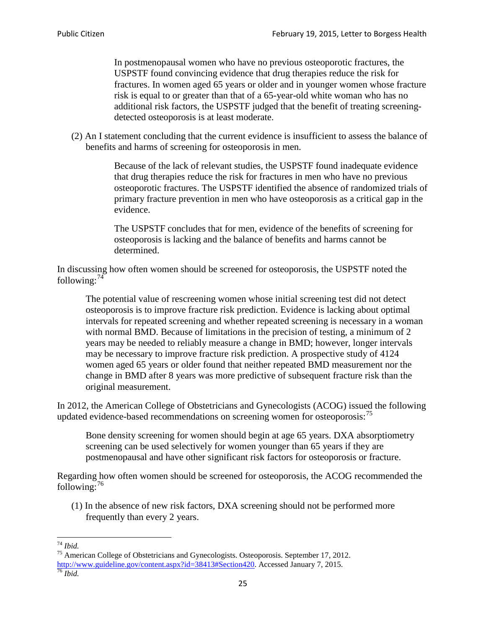In postmenopausal women who have no previous osteoporotic fractures, the USPSTF found convincing evidence that drug therapies reduce the risk for fractures. In women aged 65 years or older and in younger women whose fracture risk is equal to or greater than that of a 65-year-old white woman who has no additional risk factors, the USPSTF judged that the benefit of treating screeningdetected osteoporosis is at least moderate.

(2) An I statement concluding that the current evidence is insufficient to assess the balance of benefits and harms of screening for osteoporosis in men.

> Because of the lack of relevant studies, the USPSTF found inadequate evidence that drug therapies reduce the risk for fractures in men who have no previous osteoporotic fractures. The USPSTF identified the absence of randomized trials of primary fracture prevention in men who have osteoporosis as a critical gap in the evidence.

The USPSTF concludes that for men, evidence of the benefits of screening for osteoporosis is lacking and the balance of benefits and harms cannot be determined.

In discussing how often women should be screened for osteoporosis, the USPSTF noted the following: $74$ 

The potential value of rescreening women whose initial screening test did not detect osteoporosis is to improve fracture risk prediction. Evidence is lacking about optimal intervals for repeated screening and whether repeated screening is necessary in a woman with normal BMD. Because of limitations in the precision of testing, a minimum of 2 years may be needed to reliably measure a change in BMD; however, longer intervals may be necessary to improve fracture risk prediction. A prospective study of 4124 women aged 65 years or older found that neither repeated BMD measurement nor the change in BMD after 8 years was more predictive of subsequent fracture risk than the original measurement.

In 2012, the American College of Obstetricians and Gynecologists (ACOG) issued the following updated evidence-based recommendations on screening women for osteoporosis:<sup>[75](#page-24-1)</sup>

Bone density screening for women should begin at age 65 years. DXA absorptiometry screening can be used selectively for women younger than 65 years if they are postmenopausal and have other significant risk factors for osteoporosis or fracture.

Regarding how often women should be screened for osteoporosis, the ACOG recommended the following: $^{76}$  $^{76}$  $^{76}$ 

(1) In the absence of new risk factors, DXA screening should not be performed more frequently than every 2 years.

<span id="page-24-2"></span><span id="page-24-1"></span><span id="page-24-0"></span><sup>74</sup> *Ibid.* <sup>75</sup> American College of Obstetricians and Gynecologists. Osteoporosis. September 17, 2012. [http://www.guideline.gov/content.aspx?id=38413#Section420.](http://www.guideline.gov/content.aspx?id=38413#Section420) Accessed January 7, 2015.<br><sup>76</sup> *Ibid.*